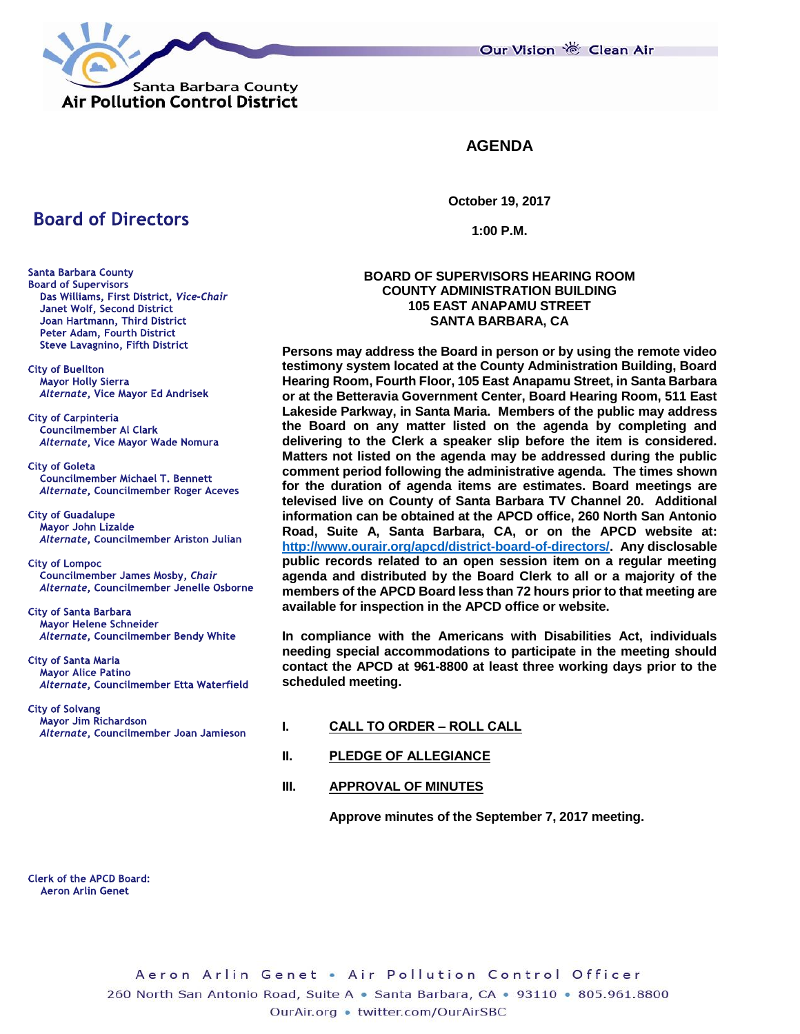Our Vision 卷 Clean Air



**AGENDA**

**October 19, 2017**

**1:00 P.M.**

## **BOARD OF SUPERVISORS HEARING ROOM COUNTY ADMINISTRATION BUILDING 105 EAST ANAPAMU STREET SANTA BARBARA, CA**

**Persons may address the Board in person or by using the remote video testimony system located at the County Administration Building, Board Hearing Room, Fourth Floor, 105 East Anapamu Street, in Santa Barbara or at the Betteravia Government Center, Board Hearing Room, 511 East Lakeside Parkway, in Santa Maria. Members of the public may address the Board on any matter listed on the agenda by completing and delivering to the Clerk a speaker slip before the item is considered. Matters not listed on the agenda may be addressed during the public comment period following the administrative agenda. The times shown for the duration of agenda items are estimates. Board meetings are televised live on County of Santa Barbara TV Channel 20. Additional information can be obtained at the APCD office, 260 North San Antonio Road, Suite A, Santa Barbara, CA, or on the APCD website at: [http://www.ourair.org/apcd/district-board-of-directors/.](http://www.ourair.org/apcd/district-board-of-directors/) Any disclosable public records related to an open session item on a regular meeting agenda and distributed by the Board Clerk to all or a majority of the members of the APCD Board less than 72 hours prior to that meeting are available for inspection in the APCD office or website.**

**In compliance with the Americans with Disabilities Act, individuals needing special accommodations to participate in the meeting should contact the APCD at 961-8800 at least three working days prior to the scheduled meeting.**

- **I. CALL TO ORDER – ROLL CALL**
- **II. PLEDGE OF ALLEGIANCE**

## **III. APPROVAL OF MINUTES**

**Approve minutes of the September 7, 2017 meeting.**

**Santa Barbara County Board of Supervisors** Das Williams, First District, Vice-Chair Janet Wolf, Second District Joan Hartmann, Third District Peter Adam, Fourth District **Steve Lavagnino, Fifth District** 

**Board of Directors** 

**City of Buellton Mayor Holly Sierra** Alternate, Vice Mayor Ed Andrisek

**City of Carpinteria Councilmember AI Clark** Alternate, Vice Mayor Wade Nomura

**City of Goleta Councilmember Michael T. Bennett** Alternate, Councilmember Roger Aceves

**City of Guadalupe Mayor John Lizalde** Alternate, Councilmember Ariston Julian

**City of Lompoc** Councilmember James Mosby, Chair Alternate, Councilmember Jenelle Osborne

**City of Santa Barbara** Mayor Helene Schneider Alternate, Councilmember Bendy White

**City of Santa Maria Mayor Alice Patino** Alternate, Councilmember Etta Waterfield

**City of Solvang** Mayor Jim Richardson Alternate, Councilmember Joan Jamieson

**Clerk of the APCD Board: Aeron Arlin Genet**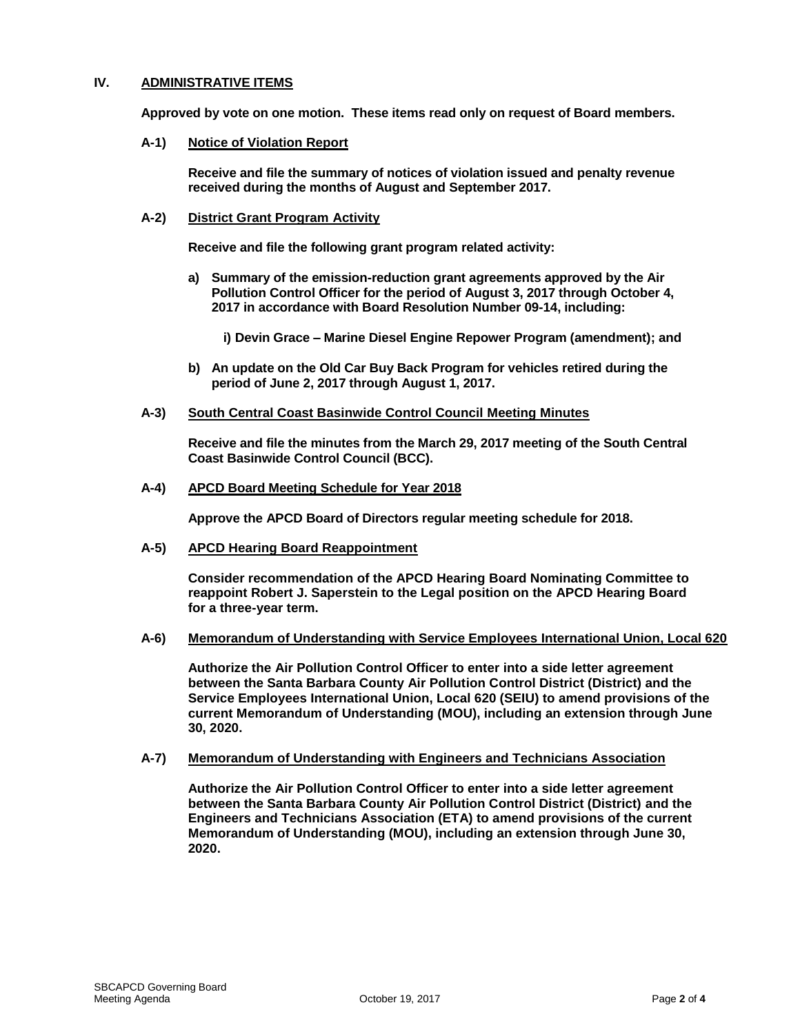## **IV. ADMINISTRATIVE ITEMS**

**Approved by vote on one motion. These items read only on request of Board members.**

#### **A-1) Notice of Violation Report**

**Receive and file the summary of notices of violation issued and penalty revenue received during the months of August and September 2017.**

#### **A-2) District Grant Program Activity**

**Receive and file the following grant program related activity:**

**a) Summary of the emission-reduction grant agreements approved by the Air Pollution Control Officer for the period of August 3, 2017 through October 4, 2017 in accordance with Board Resolution Number 09-14, including:**

**i) Devin Grace – Marine Diesel Engine Repower Program (amendment); and**

- **b) An update on the Old Car Buy Back Program for vehicles retired during the period of June 2, 2017 through August 1, 2017.**
- **A-3) South Central Coast Basinwide Control Council Meeting Minutes**

**Receive and file the minutes from the March 29, 2017 meeting of the South Central Coast Basinwide Control Council (BCC).**

**A-4) APCD Board Meeting Schedule for Year 2018**

**Approve the APCD Board of Directors regular meeting schedule for 2018.**

**A-5) APCD Hearing Board Reappointment**

**Consider recommendation of the APCD Hearing Board Nominating Committee to reappoint Robert J. Saperstein to the Legal position on the APCD Hearing Board for a three-year term.**

**A-6) Memorandum of Understanding with Service Employees International Union, Local 620**

**Authorize the Air Pollution Control Officer to enter into a side letter agreement between the Santa Barbara County Air Pollution Control District (District) and the Service Employees International Union, Local 620 (SEIU) to amend provisions of the current Memorandum of Understanding (MOU), including an extension through June 30, 2020.**

**A-7) Memorandum of Understanding with Engineers and Technicians Association**

**Authorize the Air Pollution Control Officer to enter into a side letter agreement between the Santa Barbara County Air Pollution Control District (District) and the Engineers and Technicians Association (ETA) to amend provisions of the current Memorandum of Understanding (MOU), including an extension through June 30, 2020.**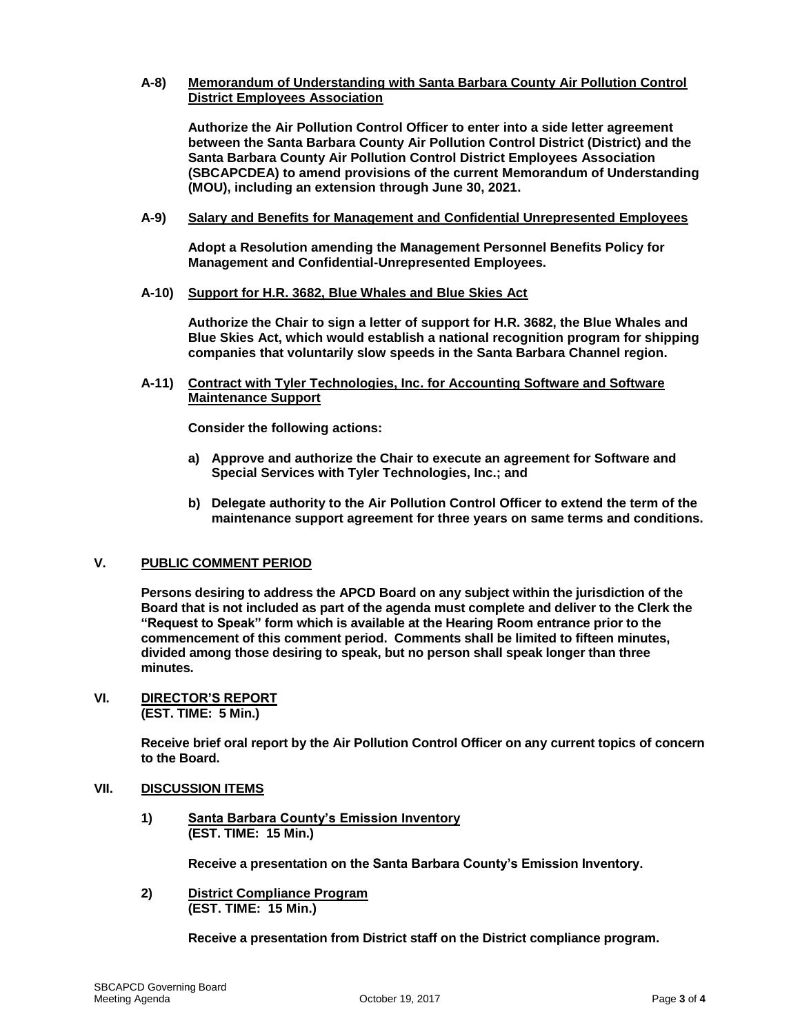## **A-8) Memorandum of Understanding with Santa Barbara County Air Pollution Control District Employees Association**

**Authorize the Air Pollution Control Officer to enter into a side letter agreement between the Santa Barbara County Air Pollution Control District (District) and the Santa Barbara County Air Pollution Control District Employees Association (SBCAPCDEA) to amend provisions of the current Memorandum of Understanding (MOU), including an extension through June 30, 2021.**

**A-9) Salary and Benefits for Management and Confidential Unrepresented Employees**

**Adopt a Resolution amending the Management Personnel Benefits Policy for Management and Confidential-Unrepresented Employees.**

**A-10) Support for H.R. 3682, Blue Whales and Blue Skies Act**

**Authorize the Chair to sign a letter of support for H.R. 3682, the Blue Whales and Blue Skies Act, which would establish a national recognition program for shipping companies that voluntarily slow speeds in the Santa Barbara Channel region.**

**A-11) Contract with Tyler Technologies, Inc. for Accounting Software and Software Maintenance Support**

**Consider the following actions:**

- **a) Approve and authorize the Chair to execute an agreement for Software and Special Services with Tyler Technologies, Inc.; and**
- **b) Delegate authority to the Air Pollution Control Officer to extend the term of the maintenance support agreement for three years on same terms and conditions.**

## **V. PUBLIC COMMENT PERIOD**

**Persons desiring to address the APCD Board on any subject within the jurisdiction of the Board that is not included as part of the agenda must complete and deliver to the Clerk the "Request to Speak" form which is available at the Hearing Room entrance prior to the commencement of this comment period. Comments shall be limited to fifteen minutes, divided among those desiring to speak, but no person shall speak longer than three minutes.**

**VI. DIRECTOR'S REPORT (EST. TIME: 5 Min.)**

> **Receive brief oral report by the Air Pollution Control Officer on any current topics of concern to the Board.**

#### **VII. DISCUSSION ITEMS**

**1) Santa Barbara County's Emission Inventory (EST. TIME: 15 Min.)**

**Receive a presentation on the Santa Barbara County's Emission Inventory.**

**2) District Compliance Program (EST. TIME: 15 Min.)**

**Receive a presentation from District staff on the District compliance program.**